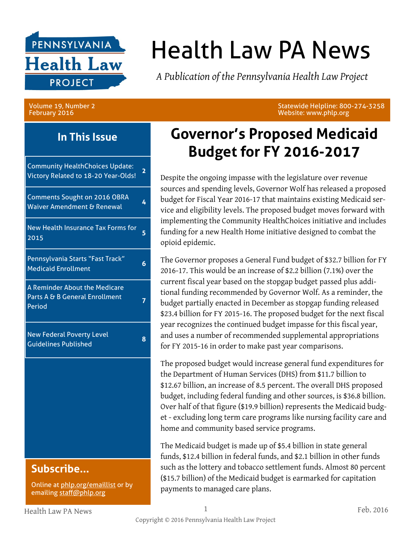

# Health Law PA News

*A Publication of the Pennsylvania Health Law Project*

#### Volume 19, Number 2 February 2016

Statewide Helpline: 800-274-3258 Website: www.phlp.org

#### **In This Issue**

Community HealthChoices Update: Victory Related to 18-20 Year-Olds! **<sup>2</sup>**

| <b>Comments Sought on 2016 OBRA</b><br>Waiver Amendment & Renewal         | 4 |
|---------------------------------------------------------------------------|---|
| New Health Insurance Tax Forms for<br>2015                                | 5 |
| Pennsylvania Starts "Fast Track"<br><b>Medicaid Enrollment</b>            | 6 |
| A Reminder About the Medicare<br>Parts A & B General Enrollment<br>Period |   |
| <b>New Federal Poverty Level</b><br><b>Guidelines Published</b>           | Զ |

### **Subscribe...**

Online at [phlp.org/emaillist](http://www.phlp.org/home-page/emaillist) or by emailing [staff@phlp.org](mailto:staff@phlp.org)

### **Governor's Proposed Medicaid Budget for FY 2016-2017**

Despite the ongoing impasse with the legislature over revenue sources and spending levels, Governor Wolf has released a proposed budget for Fiscal Year 2016-17 that maintains existing Medicaid service and eligibility levels. The proposed budget moves forward with implementing the Community HealthChoices initiative and includes funding for a new Health Home initiative designed to combat the opioid epidemic.

The Governor proposes a General Fund budget of \$32.7 billion for FY 2016-17. This would be an increase of \$2.2 billion (7.1%) over the current fiscal year based on the stopgap budget passed plus additional funding recommended by Governor Wolf. As a reminder, the budget partially enacted in December as stopgap funding released \$23.4 billion for FY 2015-16. The proposed budget for the next fiscal year recognizes the continued budget impasse for this fiscal year, and uses a number of recommended supplemental appropriations for FY 2015-16 in order to make past year comparisons.

The proposed budget would increase general fund expenditures for the Department of Human Services (DHS) from \$11.7 billion to \$12.67 billion, an increase of 8.5 percent. The overall DHS proposed budget, including federal funding and other sources, is \$36.8 billion. Over half of that figure (\$19.9 billion) represents the Medicaid budget - excluding long term care programs like nursing facility care and home and community based service programs.

The Medicaid budget is made up of \$5.4 billion in state general funds, \$12.4 billion in federal funds, and \$2.1 billion in other funds such as the lottery and tobacco settlement funds. Almost 80 percent (\$15.7 billion) of the Medicaid budget is earmarked for capitation payments to managed care plans.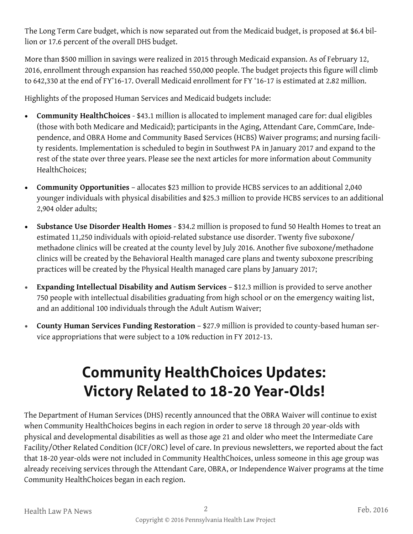The Long Term Care budget, which is now separated out from the Medicaid budget, is proposed at \$6.4 billion or 17.6 percent of the overall DHS budget.

More than \$500 million in savings were realized in 2015 through Medicaid expansion. As of February 12, 2016, enrollment through expansion has reached 550,000 people. The budget projects this figure will climb to 642,330 at the end of FY'16-17. Overall Medicaid enrollment for FY '16-17 is estimated at 2.82 million.

Highlights of the proposed Human Services and Medicaid budgets include:

- **Community HealthChoices** \$43.1 million is allocated to implement managed care for: dual eligibles (those with both Medicare and Medicaid); participants in the Aging, Attendant Care, CommCare, Independence, and OBRA Home and Community Based Services (HCBS) Waiver programs; and nursing facility residents. Implementation is scheduled to begin in Southwest PA in January 2017 and expand to the rest of the state over three years. Please see the next articles for more information about Community HealthChoices;
- **Community Opportunities**  allocates \$23 million to provide HCBS services to an additional 2,040 younger individuals with physical disabilities and \$25.3 million to provide HCBS services to an additional 2,904 older adults;
- **Substance Use Disorder Health Homes** \$34.2 million is proposed to fund 50 Health Homes to treat an estimated 11,250 individuals with opioid-related substance use disorder. Twenty five suboxone/ methadone clinics will be created at the county level by July 2016. Another five suboxone/methadone clinics will be created by the Behavioral Health managed care plans and twenty suboxone prescribing practices will be created by the Physical Health managed care plans by January 2017;
- **Expanding Intellectual Disability and Autism Services** \$12.3 million is provided to serve another 750 people with intellectual disabilities graduating from high school or on the emergency waiting list, and an additional 100 individuals through the Adult Autism Waiver;
- **County Human Services Funding Restoration** \$27.9 million is provided to county-based human service appropriations that were subject to a 10% reduction in FY 2012-13.

# **Community HealthChoices Updates: Victory Related to 18-20 Year-Olds!**

The Department of Human Services (DHS) recently announced that the OBRA Waiver will continue to exist when Community HealthChoices begins in each region in order to serve 18 through 20 year-olds with physical and developmental disabilities as well as those age 21 and older who meet the Intermediate Care Facility/Other Related Condition (ICF/ORC) level of care. In previous newsletters, we reported about the fact that 18-20 year-olds were not included in Community HealthChoices, unless someone in this age group was already receiving services through the Attendant Care, OBRA, or Independence Waiver programs at the time Community HealthChoices began in each region.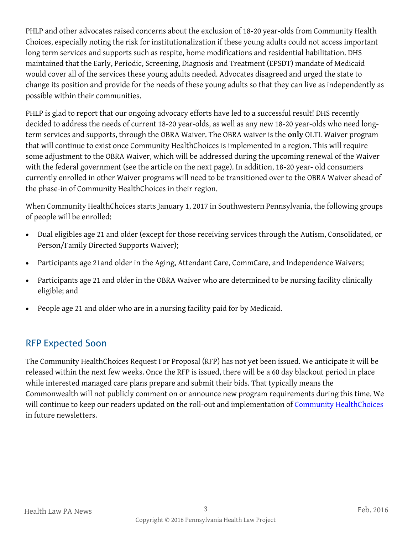PHLP and other advocates raised concerns about the exclusion of 18-20 year-olds from Community Health Choices, especially noting the risk for institutionalization if these young adults could not access important long term services and supports such as respite, home modifications and residential habilitation. DHS maintained that the Early, Periodic, Screening, Diagnosis and Treatment (EPSDT) mandate of Medicaid would cover all of the services these young adults needed. Advocates disagreed and urged the state to change its position and provide for the needs of these young adults so that they can live as independently as possible within their communities.

PHLP is glad to report that our ongoing advocacy efforts have led to a successful result! DHS recently decided to address the needs of current 18-20 year-olds, as well as any new 18-20 year-olds who need longterm services and supports, through the OBRA Waiver. The OBRA waiver is the **only** OLTL Waiver program that will continue to exist once Community HealthChoices is implemented in a region. This will require some adjustment to the OBRA Waiver, which will be addressed during the upcoming renewal of the Waiver with the federal government (see the article on the next page). In addition, 18-20 year- old consumers currently enrolled in other Waiver programs will need to be transitioned over to the OBRA Waiver ahead of the phase-in of Community HealthChoices in their region.

When Community HealthChoices starts January 1, 2017 in Southwestern Pennsylvania, the following groups of people will be enrolled:

- Dual eligibles age 21 and older (except for those receiving services through the Autism, Consolidated, or Person/Family Directed Supports Waiver);
- Participants age 21and older in the Aging, Attendant Care, CommCare, and Independence Waivers;
- Participants age 21 and older in the OBRA Waiver who are determined to be nursing facility clinically eligible; and
- People age 21 and older who are in a nursing facility paid for by Medicaid.

#### RFP Expected Soon

The Community HealthChoices Request For Proposal (RFP) has not yet been issued. We anticipate it will be released within the next few weeks. Once the RFP is issued, there will be a 60 day blackout period in place while interested managed care plans prepare and submit their bids. That typically means the Commonwealth will not publicly comment on or announce new program requirements during this time. We will continue to keep our readers updated on the roll-out and implementation of [Community HealthChoices](http://www.dhs.pa.gov/citizens/communityhealthchoices/index.htm#.VtR4EPkrJMw) in future newsletters.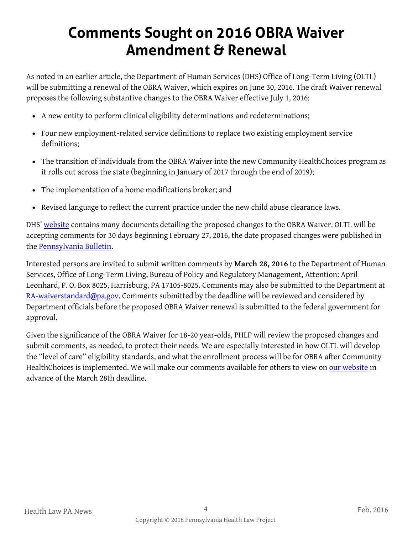### **Comments Sought on 2016 OBRA Waiver Amendment & Renewal**

As noted in an earlier article, the Department of Human Services (DHS) Office of Long-Term Living (OLTL) will be submitting a renewal of the OBRA Waiver, which expires on June 30, 2016. The draft Waiver renewal proposes the following substantive changes to the OBRA Waiver effective July 1, 2016:

- A new entity to perform clinical eligibility determinations and redeterminations;
- Four new employment-related service definitions to replace two existing employment service definitions;
- The transition of individuals from the OBRA Waiver into the new Community HealthChoices program as it rolls out across the state (beginning in January of 2017 through the end of 2019);
- The implementation of a home modifications broker; and
- Revised language to reflect the current practice under the new child abuse clearance laws.

DHS' [website](http://www.dhs.pa.gov/learnaboutdhs/dhsorganization/officeoflongtermliving/oltlwaiverinfo/index.htm#.VtRUIMdwUbb) contains many documents detailing the proposed changes to the OBRA Waiver. OLTL will be accepting comments for 30 days beginning February 27, 2016, the date proposed changes were published in the [Pennsylvania Bulletin.](http://www.pabulletin.com/secure/data/vol46/46-9/index.html) 

Interested persons are invited to submit written comments by **March 28, 2016** to the Department of Human Services, Office of Long-Term Living, Bureau of Policy and Regulatory Management, Attention: April Leonhard, P. O. Box 8025, Harrisburg, PA 17105-8025. Comments may also be submitted to the Department at [RA-waiverstandard@pa.gov.](mailto:RA-waiverstandard@pa.gov) Comments submitted by the deadline will be reviewed and considered by Department officials before the proposed OBRA Waiver renewal is submitted to the federal government for approval.

Given the significance of the OBRA Waiver for 18-20 year-olds, PHLP will review the proposed changes and submit comments, as needed, to protect their needs. We are especially interested in how OLTL will develop the "level of care" eligibility standards, and what the enrollment process will be for OBRA after Community HealthChoices is implemented. We will make our comments available for others to view on [our website](http://www.phlp.org/) in advance of the March 28th deadline.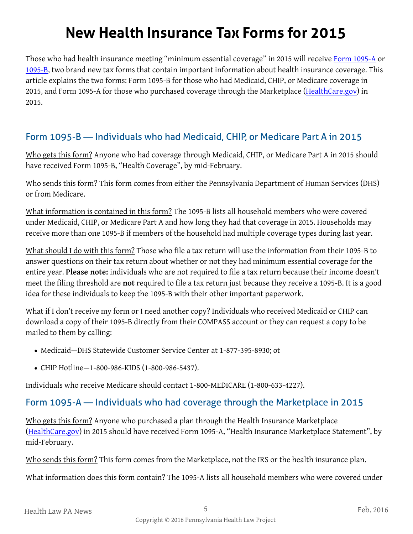### **New Health Insurance Tax Forms for 2015**

Those who had health insurance meeting "minimum essential coverage" in 2015 will receive [Form 1095-A](https://www.irs.gov/pub/irs-prior/f1095a--2015.pdf) or [1095-B,](https://www.irs.gov/pub/irs-prior/f1095b--2015.pdf) two brand new tax forms that contain important information about health insurance coverage. This article explains the two forms: Form 1095-B for those who had Medicaid, CHIP, or Medicare coverage in 2015, and Form 1095-A for those who purchased coverage through the Marketplace ([HealthCare.gov\)](http://www.healthcare.gov/) in 2015.

#### Form 1095-B — Individuals who had Medicaid, CHIP, or Medicare Part A in 2015

Who gets this form? Anyone who had coverage through Medicaid, CHIP, or Medicare Part A in 2015 should have received Form 1095-B, "Health Coverage", by mid-February.

Who sends this form? This form comes from either the Pennsylvania Department of Human Services (DHS) or from Medicare.

What information is contained in this form? The 1095-B lists all household members who were covered under Medicaid, CHIP, or Medicare Part A and how long they had that coverage in 2015. Households may receive more than one 1095-B if members of the household had multiple coverage types during last year.

What should I do with this form? Those who file a tax return will use the information from their 1095-B to answer questions on their tax return about whether or not they had minimum essential coverage for the entire year. **Please note:** individuals who are not required to file a tax return because their income doesn't meet the filing threshold are **not** required to file a tax return just because they receive a 1095-B. It is a good idea for these individuals to keep the 1095-B with their other important paperwork.

What if I don't receive my form or I need another copy? Individuals who received Medicaid or CHIP can download a copy of their 1095-B directly from their COMPASS account or they can request a copy to be mailed to them by calling:

- Medicaid–DHS Statewide Customer Service Center at 1-877-395-8930; ot
- CHIP Hotline—1-800-986-KIDS (1-800-986-5437).

Individuals who receive Medicare should contact 1-800-MEDICARE (1-800-633-4227).

#### Form 1095-A — Individuals who had coverage through the Marketplace in 2015

Who gets this form? Anyone who purchased a plan through the Health Insurance Marketplace ([HealthCare.gov\)](http://www.healthcare.gov/) in 2015 should have received Form 1095-A, "Health Insurance Marketplace Statement", by mid-February.

Who sends this form? This form comes from the Marketplace, not the IRS or the health insurance plan.

What information does this form contain? The 1095-A lists all household members who were covered under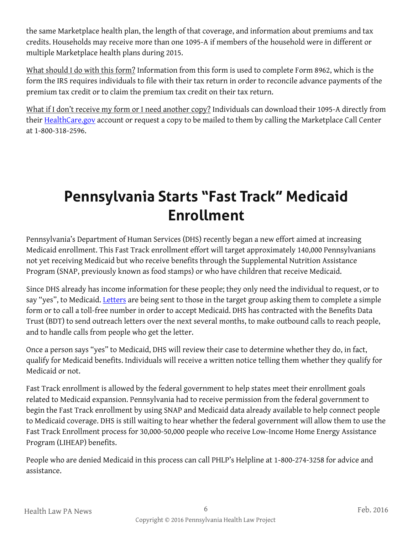the same Marketplace health plan, the length of that coverage, and information about premiums and tax credits. Households may receive more than one 1095-A if members of the household were in different or multiple Marketplace health plans during 2015.

What should I do with this form? Information from this form is used to complete Form 8962, which is the form the IRS requires individuals to file with their tax return in order to reconcile advance payments of the premium tax credit or to claim the premium tax credit on their tax return.

What if I don't receive my form or I need another copy? Individuals can download their 1095-A directly from their [HealthCare.gov](http://www.healthcare.gov/) account or request a copy to be mailed to them by calling the Marketplace Call Center at 1-800-318-2596.

### **Pennsylvania Starts "Fast Track" Medicaid Enrollment**

Pennsylvania's Department of Human Services (DHS) recently began a new effort aimed at increasing Medicaid enrollment. This Fast Track enrollment effort will target approximately 140,000 Pennsylvanians not yet receiving Medicaid but who receive benefits through the Supplemental Nutrition Assistance Program (SNAP, previously known as food stamps) or who have children that receive Medicaid.

Since DHS already has income information for these people; they only need the individual to request, or to say "yes", to Medicaid. [Letters](http://www.phlp.org/wp-content/uploads/2016/02/DHS-Fast-Track-Outreach-Letter1.pdf) are being sent to those in the target group asking them to complete a simple form or to call a toll-free number in order to accept Medicaid. DHS has contracted with the Benefits Data Trust (BDT) to send outreach letters over the next several months, to make outbound calls to reach people, and to handle calls from people who get the letter.

Once a person says "yes" to Medicaid, DHS will review their case to determine whether they do, in fact, qualify for Medicaid benefits. Individuals will receive a written notice telling them whether they qualify for Medicaid or not.

Fast Track enrollment is allowed by the federal government to help states meet their enrollment goals related to Medicaid expansion. Pennsylvania had to receive permission from the federal government to begin the Fast Track enrollment by using SNAP and Medicaid data already available to help connect people to Medicaid coverage. DHS is still waiting to hear whether the federal government will allow them to use the Fast Track Enrollment process for 30,000-50,000 people who receive Low-Income Home Energy Assistance Program (LIHEAP) benefits.

People who are denied Medicaid in this process can call PHLP's Helpline at 1-800-274-3258 for advice and assistance.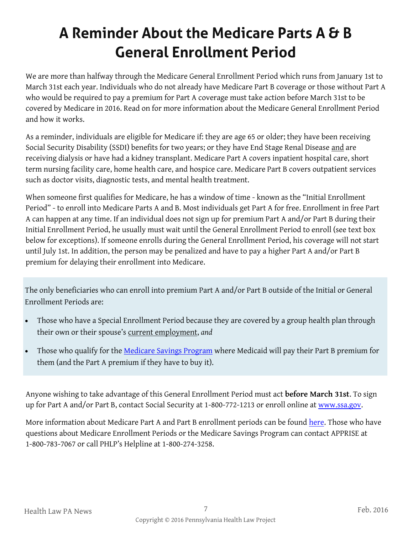# **A Reminder About the Medicare Parts A & B General Enrollment Period**

We are more than halfway through the Medicare General Enrollment Period which runs from January 1st to March 31st each year. Individuals who do not already have Medicare Part B coverage or those without Part A who would be required to pay a premium for Part A coverage must take action before March 31st to be covered by Medicare in 2016. Read on for more information about the Medicare General Enrollment Period and how it works.

As a reminder, individuals are eligible for Medicare if: they are age 65 or older; they have been receiving Social Security Disability (SSDI) benefits for two years; or they have End Stage Renal Disease and are receiving dialysis or have had a kidney transplant. Medicare Part A covers inpatient hospital care, short term nursing facility care, home health care, and hospice care. Medicare Part B covers outpatient services such as doctor visits, diagnostic tests, and mental health treatment.

When someone first qualifies for Medicare, he has a window of time - known as the "Initial Enrollment Period" - to enroll into Medicare Parts A and B. Most individuals get Part A for free. Enrollment in free Part A can happen at any time. If an individual does not sign up for premium Part A and/or Part B during their Initial Enrollment Period, he usually must wait until the General Enrollment Period to enroll (see text box below for exceptions). If someone enrolls during the General Enrollment Period, his coverage will not start until July 1st. In addition, the person may be penalized and have to pay a higher Part A and/or Part B premium for delaying their enrollment into Medicare.

The only beneficiaries who can enroll into premium Part A and/or Part B outside of the Initial or General Enrollment Periods are:

- Those who have a Special Enrollment Period because they are covered by a group health plan through their own or their spouse's current employment, *and*
- Those who qualify for the [Medicare Savings Program](http://www.phlp.org/wp-content/uploads/2016/02/2016-MSP-Guide-website-final.pdf) where Medicaid will pay their Part B premium for them (and the Part A premium if they have to buy it).

Anyone wishing to take advantage of this General Enrollment Period must act **before March 31st**. To sign up for Part A and/or Part B, contact Social Security at 1-800-772-1213 or enroll online at [www.ssa.gov.](http://www.ssa.gov/)

More information about Medicare Part A and Part B enrollment periods can be found [here.](https://www.medicare.gov/sign-up-change-plans/get-parts-a-and-b/when-sign-up-parts-a-and-b/when-sign-up-parts-a-and-b.html) Those who have questions about Medicare Enrollment Periods or the Medicare Savings Program can contact APPRISE at 1-800-783-7067 or call PHLP's Helpline at 1-800-274-3258.